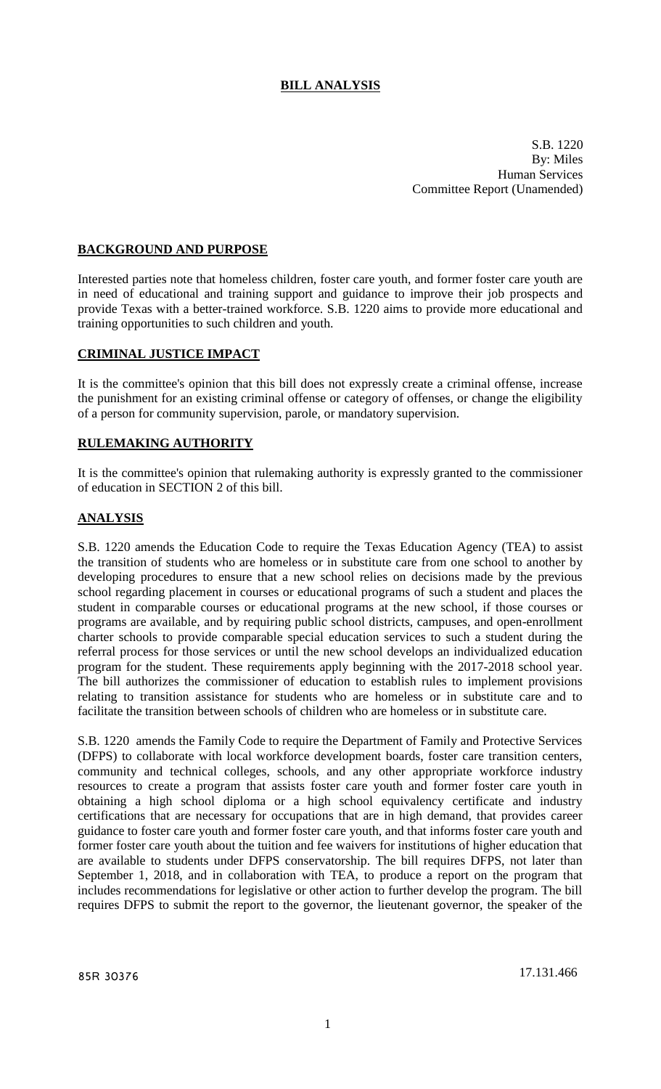# **BILL ANALYSIS**

S.B. 1220 By: Miles Human Services Committee Report (Unamended)

## **BACKGROUND AND PURPOSE**

Interested parties note that homeless children, foster care youth, and former foster care youth are in need of educational and training support and guidance to improve their job prospects and provide Texas with a better-trained workforce. S.B. 1220 aims to provide more educational and training opportunities to such children and youth.

#### **CRIMINAL JUSTICE IMPACT**

It is the committee's opinion that this bill does not expressly create a criminal offense, increase the punishment for an existing criminal offense or category of offenses, or change the eligibility of a person for community supervision, parole, or mandatory supervision.

#### **RULEMAKING AUTHORITY**

It is the committee's opinion that rulemaking authority is expressly granted to the commissioner of education in SECTION 2 of this bill.

#### **ANALYSIS**

S.B. 1220 amends the Education Code to require the Texas Education Agency (TEA) to assist the transition of students who are homeless or in substitute care from one school to another by developing procedures to ensure that a new school relies on decisions made by the previous school regarding placement in courses or educational programs of such a student and places the student in comparable courses or educational programs at the new school, if those courses or programs are available, and by requiring public school districts, campuses, and open-enrollment charter schools to provide comparable special education services to such a student during the referral process for those services or until the new school develops an individualized education program for the student. These requirements apply beginning with the 2017-2018 school year. The bill authorizes the commissioner of education to establish rules to implement provisions relating to transition assistance for students who are homeless or in substitute care and to facilitate the transition between schools of children who are homeless or in substitute care.

S.B. 1220 amends the Family Code to require the Department of Family and Protective Services (DFPS) to collaborate with local workforce development boards, foster care transition centers, community and technical colleges, schools, and any other appropriate workforce industry resources to create a program that assists foster care youth and former foster care youth in obtaining a high school diploma or a high school equivalency certificate and industry certifications that are necessary for occupations that are in high demand, that provides career guidance to foster care youth and former foster care youth, and that informs foster care youth and former foster care youth about the tuition and fee waivers for institutions of higher education that are available to students under DFPS conservatorship. The bill requires DFPS, not later than September 1, 2018, and in collaboration with TEA, to produce a report on the program that includes recommendations for legislative or other action to further develop the program. The bill requires DFPS to submit the report to the governor, the lieutenant governor, the speaker of the